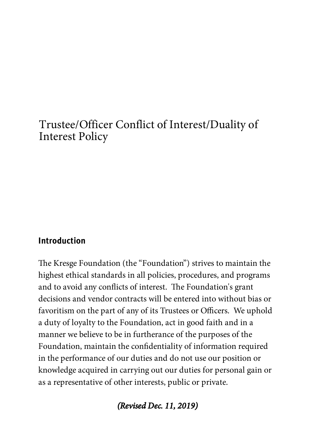# Trustee/Officer Conflict of Interest/Duality of Interest Policy

### Introduction

The Kresge Foundation (the "Foundation") strives to maintain the highest ethical standards in all policies, procedures, and programs and to avoid any conflicts of interest. The Foundation's grant decisions and vendor contracts will be entered into without bias or favoritism on the part of any of its Trustees or Officers. We uphold a duty of loyalty to the Foundation, act in good faith and in a manner we believe to be in furtherance of the purposes of the Foundation, maintain the confidentiality of information required in the performance of our duties and do not use our position or knowledge acquired in carrying out our duties for personal gain or as a representative of other interests, public or private.

(Revised Dec. 11, 2019)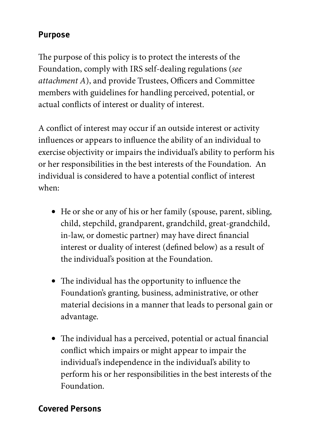## Purpose

The purpose of this policy is to protect the interests of the Foundation, comply with IRS self-dealing regulations (see  $attachment A$ ), and provide Trustees, Officers and Committee members with guidelines for handling perceived, potential, or actual conflicts of interest or duality of interest.

A conflict of interest may occur if an outside interest or activity influences or appears to influence the ability of an individual to exercise objectivity or impairs the individual's ability to perform his or her responsibilities in the best interests of the Foundation. An individual is considered to have a potential conflict of interest when:

- He or she or any of his or her family (spouse, parent, sibling, child, stepchild, grandparent, grandchild, great-grandchild, in-law, or domestic partner) may have direct financial interest or duality of interest (defined below) as a result of the individual's position at the Foundation.
- $\bullet$  The individual has the opportunity to influence the Foundation's granting, business, administrative, or other material decisions in a manner that leads to personal gain or advantage.
- The individual has a perceived, potential or actual financial conflict which impairs or might appear to impair the individual's independence in the individual's ability to perform his or her responsibilities in the best interests of the Foundation.

## Covered Persons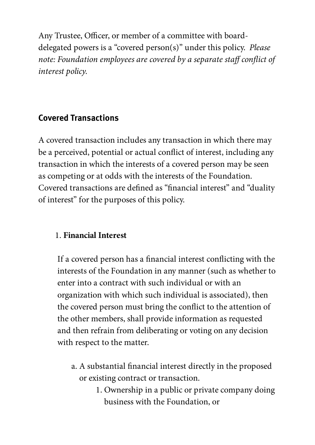Any Trustee, Officer, or member of a committee with boarddelegated powers is a "covered person(s)" under this policy. Please note: Foundation employees are covered by a separate staff conflict of interest policy.

## Covered Transactions

A covered transaction includes any transaction in which there may be a perceived, potential or actual conflict of interest, including any transaction in which the interests of a covered person may be seen as competing or at odds with the interests of the Foundation. Covered transactions are defined as "financial interest" and "duality" of interest" for the purposes of this policy.

## 1. **Financial Interest**

If a covered person has a financial interest conflicting with the interests of the Foundation in any manner (such as whether to enter into a contract with such individual or with an organization with which such individual is associated), then the covered person must bring the conflict to the attention of the other members, shall provide information as requested and then refrain from deliberating or voting on any decision with respect to the matter.

- a. A substantial financial interest directly in the proposed or existing contract or transaction.
	- 1. Ownership in a public or private company doing business with the Foundation, or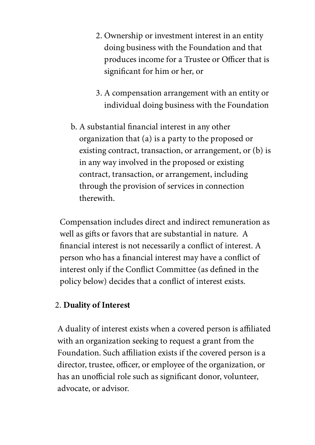- 2. Ownership or investment interest in an entity doing business with the Foundation and that produces income for a Trustee or Officer that is significant for him or her, or
- 3. A compensation arrangement with an entity or individual doing business with the Foundation
- b. A substantial financial interest in any other organization that (a) is a party to the proposed or existing contract, transaction, or arrangement, or (b) is in any way involved in the proposed or existing contract, transaction, or arrangement, including through the provision of services in connection therewith.

Compensation includes direct and indirect remuneration as well as gifts or favors that are substantial in nature. A financial interest is not necessarily a conflict of interest. A person who has a financial interest may have a conflict of interest only if the Conflict Committee (as defined in the policy below) decides that a conflict of interest exists.

#### 2. **Duality of Interest**

A duality of interest exists when a covered person is affiliated with an organization seeking to request a grant from the Foundation. Such affiliation exists if the covered person is a director, trustee, officer, or employee of the organization, or has an unofficial role such as significant donor, volunteer, advocate, or advisor.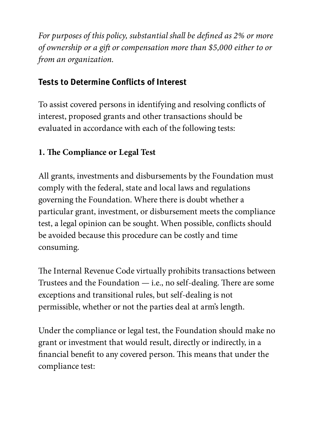For purposes of this policy, substantial shall be defined as 2% or more of ownership or a gift or compensation more than \$5,000 either to or from an organization.

## Tests to Determine Conflicts of Interest

To assist covered persons in identifying and resolving conflicts of interest, proposed grants and other transactions should be evaluated in accordance with each of the following tests:

## **1. e Compliance or Legal Test**

All grants, investments and disbursements by the Foundation must comply with the federal, state and local laws and regulations governing the Foundation. Where there is doubt whether a particular grant, investment, or disbursement meets the compliance test, a legal opinion can be sought. When possible, conflicts should be avoided because this procedure can be costly and time consuming.

The Internal Revenue Code virtually prohibits transactions between Trustees and the Foundation  $-$  i.e., no self-dealing. There are some exceptions and transitional rules, but self-dealing is not permissible, whether or not the parties deal at arm's length.

Under the compliance or legal test, the Foundation should make no grant or investment that would result, directly or indirectly, in a financial benefit to any covered person. This means that under the compliance test: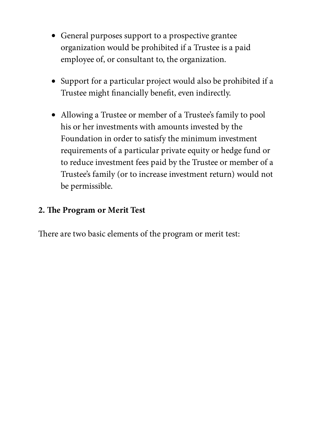- General purposes support to a prospective grantee organization would be prohibited if a Trustee is a paid employee of, or consultant to, the organization.
- Support for a particular project would also be prohibited if a Trustee might financially benefit, even indirectly.
- Allowing a Trustee or member of a Trustee's family to pool his or her investments with amounts invested by the Foundation in order to satisfy the minimum investment requirements of a particular private equity or hedge fund or to reduce investment fees paid by the Trustee or member of a Trustee's family (or to increase investment return) would not be permissible.

### **2. e Program or Merit Test**

There are two basic elements of the program or merit test: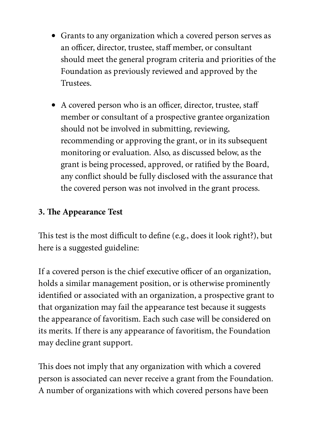- Grants to any organization which a covered person serves as an officer, director, trustee, staff member, or consultant should meet the general program criteria and priorities of the Foundation as previously reviewed and approved by the Trustees.
- A covered person who is an officer, director, trustee, staff member or consultant of a prospective grantee organization should not be involved in submitting, reviewing, recommending or approving the grant, or in its subsequent monitoring or evaluation. Also, as discussed below, as the grant is being processed, approved, or ratified by the Board, any conflict should be fully disclosed with the assurance that the covered person was not involved in the grant process.

## **3. e Appearance Test**

This test is the most difficult to define (e.g., does it look right?), but here is a suggested guideline:

If a covered person is the chief executive officer of an organization, holds a similar management position, or is otherwise prominently identified or associated with an organization, a prospective grant to that organization may fail the appearance test because it suggests the appearance of favoritism. Each such case will be considered on its merits. If there is any appearance of favoritism, the Foundation may decline grant support.

This does not imply that any organization with which a covered person is associated can never receive a grant from the Foundation. A number of organizations with which covered persons have been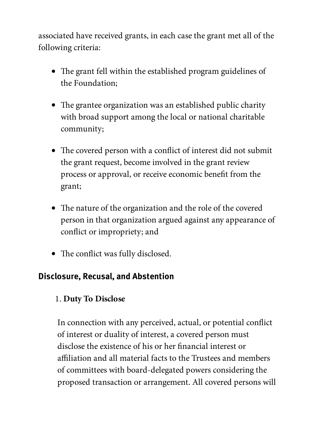associated have received grants, in each case the grant met all of the following criteria:

- The grant fell within the established program guidelines of the Foundation;
- The grantee organization was an established public charity with broad support among the local or national charitable community;
- The covered person with a conflict of interest did not submit the grant request, become involved in the grant review process or approval, or receive economic benefit from the grant;
- The nature of the organization and the role of the covered person in that organization argued against any appearance of conflict or impropriety; and
- The conflict was fully disclosed.

## Disclosure, Recusal, and Abstention

## 1. **Duty To Disclose**

In connection with any perceived, actual, or potential conflict of interest or duality of interest, a covered person must disclose the existence of his or her financial interest or affiliation and all material facts to the Trustees and members of committees with board-delegated powers considering the proposed transaction or arrangement. All covered persons will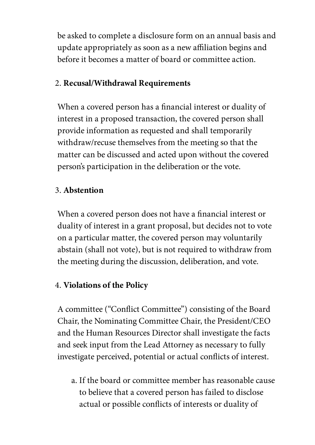be asked to complete a disclosure form on an annual basis and update appropriately as soon as a new affiliation begins and before it becomes a matter of board or committee action.

## 2. **Recusal/Withdrawal Requirements**

When a covered person has a financial interest or duality of interest in a proposed transaction, the covered person shall provide information as requested and shall temporarily withdraw/recuse themselves from the meeting so that the matter can be discussed and acted upon without the covered person's participation in the deliberation or the vote.

### 3. **Abstention**

When a covered person does not have a financial interest or duality of interest in a grant proposal, but decides not to vote on a particular matter, the covered person may voluntarily abstain (shall not vote), but is not required to withdraw from the meeting during the discussion, deliberation, and vote.

### 4. **Violations of the Policy**

A committee ("Conflict Committee") consisting of the Board Chair, the Nominating Committee Chair, the President/CEO and the Human Resources Director shall investigate the facts and seek input from the Lead Attorney as necessary to fully investigate perceived, potential or actual conflicts of interest.

a. If the board or committee member has reasonable cause to believe that a covered person has failed to disclose actual or possible conflicts of interests or duality of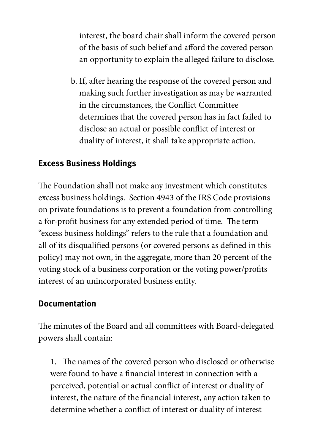interest, the board chair shall inform the covered person of the basis of such belief and afford the covered person an opportunity to explain the alleged failure to disclose.

b. If, after hearing the response of the covered person and making such further investigation as may be warranted in the circumstances, the Conflict Committee determines that the covered person has in fact failed to disclose an actual or possible conflict of interest or duality of interest, it shall take appropriate action.

### Excess Business Holdings

The Foundation shall not make any investment which constitutes excess business holdings. Section 4943 of the IRS Code provisions on private foundations is to prevent a foundation from controlling a for-profit business for any extended period of time. The term "excess business holdings" refers to the rule that a foundation and all of its disqualified persons (or covered persons as defined in this policy) may not own, in the aggregate, more than 20 percent of the voting stock of a business corporation or the voting power/profits interest of an unincorporated business entity.

### Documentation

The minutes of the Board and all committees with Board-delegated powers shall contain:

1. The names of the covered person who disclosed or otherwise were found to have a financial interest in connection with a perceived, potential or actual conflict of interest or duality of interest, the nature of the financial interest, any action taken to determine whether a conflict of interest or duality of interest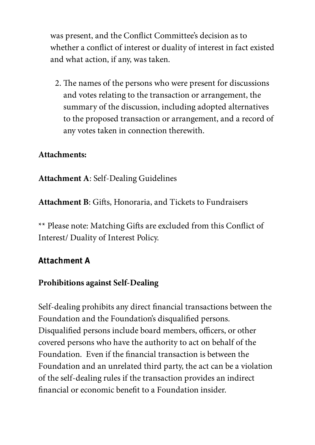was present, and the Conflict Committee's decision as to whether a conflict of interest or duality of interest in fact existed and what action, if any, was taken.

2. The names of the persons who were present for discussions and votes relating to the transaction or arrangement, the summary of the discussion, including adopted alternatives to the proposed transaction or arrangement, and a record of any votes taken in connection therewith.

### **Attachments:**

**Attachment A**: Self-Dealing Guidelines

Attachment B: Gifts, Honoraria, and Tickets to Fundraisers

\*\* Please note: Matching Gifts are excluded from this Conflict of Interest/ Duality of Interest Policy.

## Attachment A

### **Prohibitions against Self-Dealing**

Self-dealing prohibits any direct financial transactions between the Foundation and the Foundation's disqualified persons. Disqualified persons include board members, officers, or other covered persons who have the authority to act on behalf of the Foundation. Even if the financial transaction is between the Foundation and an unrelated third party, the act can be a violation of the self-dealing rules if the transaction provides an indirect financial or economic benefit to a Foundation insider.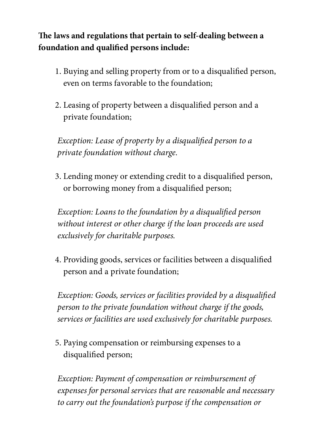**e laws and regulations that pertain to self-dealing between a foundation and qualied persons include:**

- 1. Buying and selling property from or to a disqualified person, even on terms favorable to the foundation;
- 2. Leasing of property between a disqualified person and a private foundation;

Exception: Lease of property by a disqualified person to a private foundation without charge.

3. Lending money or extending credit to a disqualified person, or borrowing money from a disqualified person;

Exception: Loans to the foundation by a disqualified person without interest or other charge if the loan proceeds are used exclusively for charitable purposes.

4. Providing goods, services or facilities between a disqualified person and a private foundation;

Exception: Goods, services or facilities provided by a disqualified person to the private foundation without charge if the goods, services or facilities are used exclusively for charitable purposes.

5. Paying compensation or reimbursing expenses to a disqualified person;

Exception: Payment of compensation or reimbursement of expenses for personal services that are reasonable and necessary to carry out the foundation's purpose if the compensation or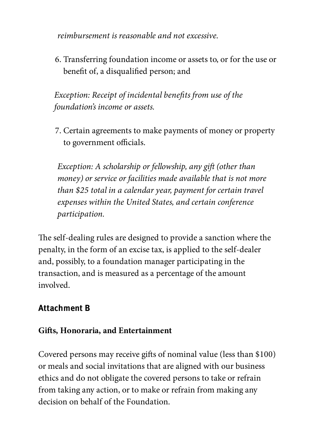reimbursement is reasonable and not excessive.

6. Transferring foundation income or assets to, or for the use or benefit of, a disqualified person; and

Exception: Receipt of incidental benefits from use of the foundation's income or assets.

7. Certain agreements to make payments of money or property to government officials.

Exception: A scholarship or fellowship, any gift (other than money) or service or facilities made available that is not more than \$25 total in a calendar year, payment for certain travel expenses within the United States, and certain conference participation.

The self-dealing rules are designed to provide a sanction where the penalty, in the form of an excise tax, is applied to the self-dealer and, possibly, to a foundation manager participating in the transaction, and is measured as a percentage of the amount involved.

## Attachment B

### $Giffs, Honoraria, and Entertainment$

Covered persons may receive gifts of nominal value (less than \$100) or meals and social invitations that are aligned with our business ethics and do not obligate the covered persons to take or refrain from taking any action, or to make or refrain from making any decision on behalf of the Foundation.